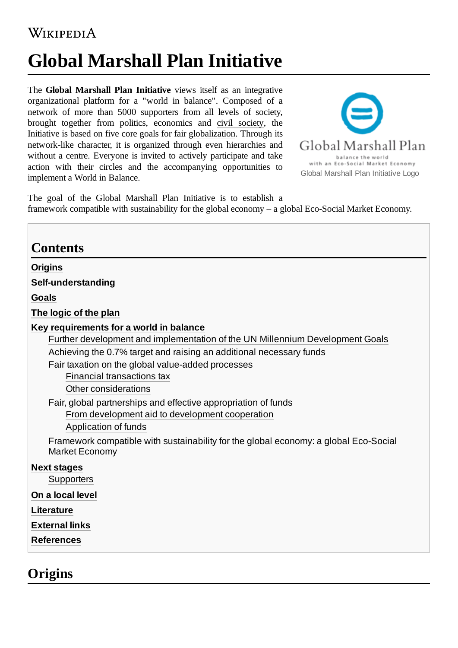## WIKIPEDIA

# **Global Marshall Plan Initiative**

The **Global Marshall Plan Initiative** views itself as an integrative organizational platform for a "world in balance". Composed of a network of more than 5000 supporters from all levels of society, brought together from politics, economics and civil [society,](https://en.wikipedia.org/wiki/Civil_society) the Initiative is based on five core goals for fair [globalization](https://en.wikipedia.org/wiki/Globalization). Through its network-like character, it is organized through even hierarchies and without a centre. Everyone is invited to actively participate and take action with their circles and the accompanying opportunities to implement a World in Balance.



The goal of the Global Marshall Plan Initiative is to establish a framework compatible with sustainability for the global economy – a global Eco-Social Market Economy.

| <b>Contents</b>                                                                                                                                                                                                                                                                                                                                                                                                                                                                                                                                                                 |
|---------------------------------------------------------------------------------------------------------------------------------------------------------------------------------------------------------------------------------------------------------------------------------------------------------------------------------------------------------------------------------------------------------------------------------------------------------------------------------------------------------------------------------------------------------------------------------|
| <b>Origins</b>                                                                                                                                                                                                                                                                                                                                                                                                                                                                                                                                                                  |
| Self-understanding                                                                                                                                                                                                                                                                                                                                                                                                                                                                                                                                                              |
| <b>Goals</b>                                                                                                                                                                                                                                                                                                                                                                                                                                                                                                                                                                    |
| The logic of the plan                                                                                                                                                                                                                                                                                                                                                                                                                                                                                                                                                           |
| Key requirements for a world in balance<br>Further development and implementation of the UN Millennium Development Goals<br>Achieving the 0.7% target and raising an additional necessary funds<br>Fair taxation on the global value-added processes<br>Financial transactions tax<br><b>Other considerations</b><br>Fair, global partnerships and effective appropriation of funds<br>From development aid to development cooperation<br>Application of funds<br>Framework compatible with sustainability for the global economy: a global Eco-Social<br><b>Market Economy</b> |
| <b>Next stages</b><br>Supporters<br>On a local level                                                                                                                                                                                                                                                                                                                                                                                                                                                                                                                            |
| Literature                                                                                                                                                                                                                                                                                                                                                                                                                                                                                                                                                                      |
| <b>External links</b>                                                                                                                                                                                                                                                                                                                                                                                                                                                                                                                                                           |
| <b>References</b>                                                                                                                                                                                                                                                                                                                                                                                                                                                                                                                                                               |

### <span id="page-0-0"></span>**Origins**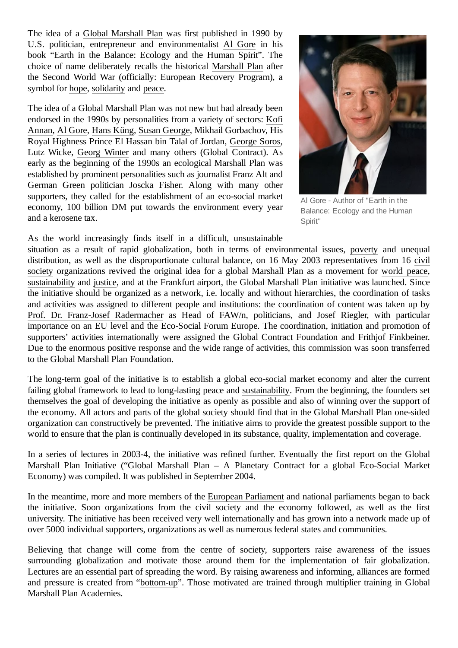The idea of a Global [Marshall](https://en.wikipedia.org/wiki/Global_Marshall_Plan) Plan was first published in 1990 by U.S. politician, entrepreneur and environmentalist Al [Gore](https://en.wikipedia.org/wiki/Al_Gore) in his book "Earth in the Balance: Ecology and the Human Spirit". The choice of name deliberately recalls the historical [Marshall](https://en.wikipedia.org/wiki/Marshall_Plan) Plan after the Second World War (officially: European Recovery Program), a symbol for [hope](https://en.wikipedia.org/wiki/Hope), [solidarity](https://en.wikipedia.org/wiki/Solidarity) and [peace](https://en.wikipedia.org/wiki/Peace).

The idea of a Global Marshall Plan was not new but had already been endorsed in the 1990s by personalities from a variety of sectors: Kofi [Annan, Al Gore, Hans Küng, Susan George, Mikhail Gorbachov, His](https://en.wikipedia.org/wiki/Kofi_Annan) Royal Highness Prince El Hassan bin Talal of Jordan, [George](https://en.wikipedia.org/wiki/George_Soros) Soros, Lutz Wicke, [Georg Winter](https://en.wikipedia.org/wiki/Georg_Winter_(manager)) and many others (Global Contract). As early as the beginning of the 1990s an ecological Marshall Plan was established by prominent personalities such as journalist Franz Alt and German Green politician Joscka Fisher. Along with many other supporters, they called for the establishment of an eco-social market economy, 100 billion DM put towards the environment every year and a kerosene tax.



Al Gore - Author of "Earth in the Balance: Ecology and the Human Spirit"

As the world increasingly finds itself in a difficult, unsustainable

situation as a result of rapid globalization, both in terms of environmental issues, [poverty](https://en.wikipedia.org/wiki/Poverty) and unequal distribution, as well as the disproportionate cultural [balance, on 16 May 2003 representatives](https://en.wikipedia.org/wiki/Civil_society) from 16 civil society organizations revived the original idea for a global Marshall Plan as a movement for [world peace,](https://en.wikipedia.org/wiki/World_peace) [sustainability](https://en.wikipedia.org/wiki/Sustainability) and [justice,](https://en.wikipedia.org/wiki/Justice) and at the Frankfurt airport, the Global Marshall Plan initiative was launched. Since the initiative should be organized as a network, i.e. locally and without hierarchies, the coordination of tasks and activities was assigned to different people and institutions: the coordination of content was taken up by [Prof. Dr. Franz-Josef](https://en.wikipedia.org/wiki/Franz_Josef_Radermacher) Radermacher as Head of FAW/n, politicians, and Josef Riegler, with particular importance on an EU level and the Eco-Social Forum Europe. The coordination, initiation and promotion of supporters' activities internationally were assigned the Global Contract Foundation and Frithjof Finkbeiner. Due to the enormous positive response and the wide range of activities, this commission was soon transferred to the Global Marshall Plan Foundation.

The long-term goal of the initiative is to establish a global eco-social market economy and alter the current failing global framework to lead to long-lasting peace and [sustainability.](https://en.wikipedia.org/wiki/Sustainability) From the beginning, the founders set themselves the goal of developing the initiative as openly as possible and also of winning over the support of the economy. All actors and parts of the global society should find that in the Global Marshall Plan one-sided organization can constructively be prevented. The initiative aims to provide the greatest possible support to the world to ensure that the plan is continually developed in its substance, quality, implementation and coverage.

In a series of lectures in 2003-4, the initiative was refined further. Eventually the first report on the Global Marshall Plan Initiative ("Global Marshall Plan – A Planetary Contract for a global Eco-Social Market Economy) was compiled. It was published in September 2004.

In the meantime, more and more members of the [European Parliament](https://en.wikipedia.org/wiki/European_Parliament) and national parliaments began to back the initiative. Soon organizations from the civil society and the economy followed, as well as the first university. The initiative has been received very well internationally and has grown into a network made up of over 5000 individual supporters, organizations as well as numerous federal states and communities.

Believing that change will come from the centre of society, supporters raise awareness of the issues surrounding globalization and motivate those around them for the implementation of fair globalization. Lectures are an essential part of spreading the word. By raising awareness and informing, alliances are formed and pressure is created from ["bottom-up](https://en.wikipedia.org/wiki/Business_development)". Those motivated are trained through multiplier training in Global Marshall Plan Academies.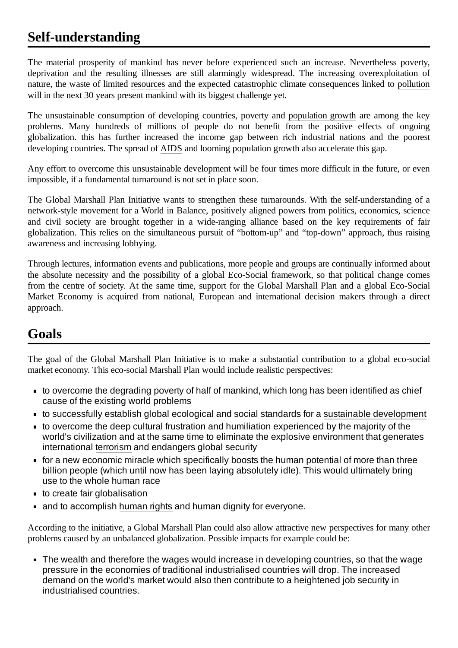# <span id="page-2-0"></span>**Self-understanding**

The material prosperity of mankind has never before experienced such an increase. Nevertheless poverty, deprivation and the resulting illnesses are still alarmingly widespread. The increasing overexploitation of nature, the waste of limited [resources](https://en.wikipedia.org/wiki/Resources) and the expected catastrophic climate consequences linked to [pollution](https://en.wikipedia.org/wiki/Pollution) will in the next 30 years present mankind with its biggest challenge yet.

The unsustainable consumption of developing countries, poverty and [population growth](https://en.wikipedia.org/wiki/Population_growth) are among the key problems. Many hundreds of millions of people do not benefit from the positive effects of ongoing globalization. this has further increased the income gap between rich industrial nations and the poorest developing countries. The spread of [AIDS](https://en.wikipedia.org/wiki/AIDS) and looming population growth also accelerate this gap.

Any effort to overcome this unsustainable development will be four times more difficult in the future, or even impossible, if a fundamental turnaround is not set in place soon.

The Global Marshall Plan Initiative wants to strengthen these turnarounds. With the self-understanding of a network-style movement for a World in Balance, positively aligned powers from politics, economics, science and civil society are brought together in a wide-ranging alliance based on the key requirements of fair globalization. This relies on the simultaneous pursuit of "bottom-up" and "top-down" approach, thus raising awareness and increasing lobbying.

Through lectures, information events and publications, more people and groups are continually informed about the absolute necessity and the possibility of a global Eco-Social framework, so that political change comes from the centre of society. At the same time, support for the Global Marshall Plan and a global Eco-Social Market Economy is acquired from national, European and international decision makers through a direct approach.

# <span id="page-2-1"></span>**Goals**

The goal of the Global Marshall Plan Initiative is to make a substantial contribution to a global eco-social market economy. This eco-social Marshall Plan would include realistic perspectives:

- to overcome the degrading poverty of half of mankind, which long has been identified as chief cause of the existing world problems
- to successfully establish global ecological and social standards for a sustainable [development](https://en.wikipedia.org/wiki/Sustainable_development)
- to overcome the deep cultural frustration and humiliation experienced by the majority of the world's civilization and at the same time to eliminate the explosive environment that generates international [terrorism](https://en.wikipedia.org/wiki/Terrorism) and endangers global security
- $\blacksquare$  for a new economic miracle which specifically boosts the human potential of more than three billion people (which until now has been laying absolutely idle). This would ultimately bring use to the whole human race
- $\blacksquare$  to create fair globalisation
- and to accomplish [human](https://en.wikipedia.org/wiki/Human_rights) rights and human dignity for everyone.

According to the initiative, a Global Marshall Plan could also allow attractive new perspectives for many other problems caused by an unbalanced globalization. Possible impacts for example could be:

The wealth and therefore the wages would increase in developing countries, so that the wage pressure in the economies of traditional industrialised countries will drop. The increased demand on the world's market would also then contribute to a heightened job security in industrialised countries.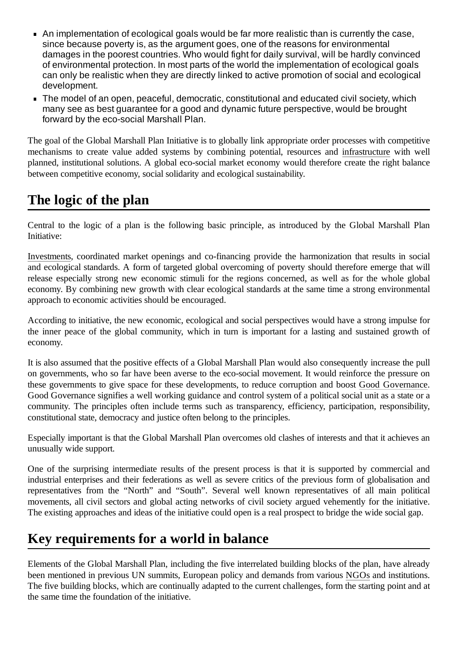- An implementation of ecological goals would be far more realistic than is currently the case, since because poverty is, as the argument goes, one of the reasons for environmental damages in the poorest countries. Who would fight for daily survival, will be hardly convinced of environmental protection. In most parts of the world the implementation of ecological goals can only be realistic when they are directly linked to active promotion of social and ecological development.
- The model of an open, peaceful, democratic, constitutional and educated civil society. which many see as best guarantee for a good and dynamic future perspective, would be brought forward by the eco-social Marshall Plan.

The goal of the Global Marshall Plan Initiative is to globally link appropriate order processes with competitive mechanisms to create value added systems by combining potential, resources and [infrastructure](https://en.wikipedia.org/wiki/Infrastructure) with well planned, institutional solutions. A global eco-social market economy would therefore create the right balance between competitive economy, social solidarity and ecological sustainability.

## <span id="page-3-0"></span>**The logic of the plan**

Central to the logic of a plan is the following basic principle, as introduced by the Global Marshall Plan Initiative:

[Investments](https://en.wikipedia.org/wiki/Investments), coordinated market openings and co-financing provide the harmonization that results in social and ecological standards. A form of targeted global overcoming of poverty should therefore emerge that will release especially strong new economic stimuli for the regions concerned, as well as for the whole global economy. By combining new growth with clear ecological standards at the same time a strong environmental approach to economic activities should be encouraged.

According to initiative, the new economic, ecological and social perspectives would have a strong impulse for the inner peace of the global community, which in turn is important for a lasting and sustained growth of economy.

It is also assumed that the positive effects of a Global Marshall Plan would also consequently increase the pull on governments, who so far have been averse to the eco-social movement. It would reinforce the pressure on these governments to give space for these developments, to reduce corruption and boost [Good Governance.](https://en.wikipedia.org/wiki/Good_Governance) Good Governance signifies a well working guidance and control system of a political social unit as a state or a community. The principles often include terms such as transparency, efficiency, participation, responsibility, constitutional state, democracy and justice often belong to the principles.

Especially important is that the Global Marshall Plan overcomes old clashes of interests and that it achieves an unusually wide support.

One of the surprising intermediate results of the present process is that it is supported by commercial and industrial enterprises and their federations as well as severe critics of the previous form of globalisation and representatives from the "North" and "South". Several well known representatives of all main political movements, all civil sectors and global acting networks of civil society argued vehemently for the initiative. The existing approaches and ideas of the initiative could open is a real prospect to bridge the wide social gap.

### <span id="page-3-1"></span>**Key requirements for a world in balance**

Elements of the Global Marshall Plan, including the five interrelated building blocks of the plan, have already been mentioned in previous UN summits, European policy and demands from various [NGOs](https://en.wikipedia.org/wiki/NGO) and institutions. The five building blocks, which are continually adapted to the current challenges, form the starting point and at the same time the foundation of the initiative.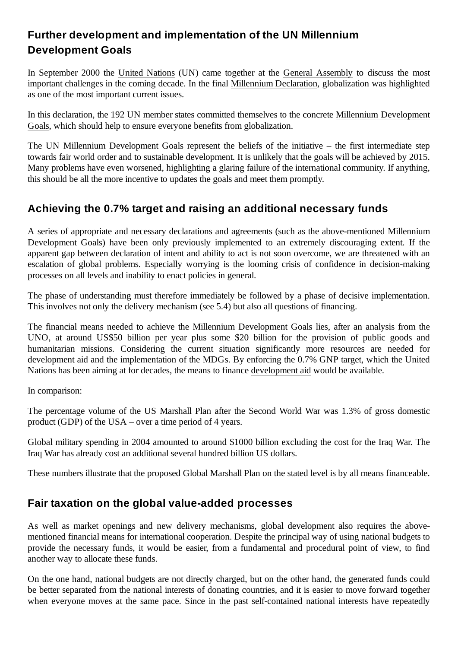### <span id="page-4-0"></span>**Further development and implementation of the UN Millennium Development Goals**

In September 2000 the [United Nations](https://en.wikipedia.org/wiki/United_Nations) (UN) came together at the General [Assembly](https://en.wikipedia.org/wiki/United_Nations_General_Assembly) to discuss the most important challenges in the coming decade. In the final [Millennium Declaration,](https://en.wikipedia.org/wiki/Millennium_Declaration) globalization was highlighted as one of the most important current issues.

In this declaration, the 192 [UN member states](https://en.wikipedia.org/wiki/UN_member_states) committed themselves to the concrete Millennium Development [Goals, which should help to ensure everyone benefits from globalization.](https://en.wikipedia.org/wiki/Millennium_Development_Goals)

The UN Millennium Development Goals represent the beliefs of the initiative – the first intermediate step towards fair world order and to sustainable development. It is unlikely that the goals will be achieved by 2015. Many problems have even worsened, highlighting a glaring failure of the international community. If anything, this should be all the more incentive to updates the goals and meet them promptly.

### <span id="page-4-1"></span>**Achieving the 0.7% target and raising an additional necessary funds**

A series of appropriate and necessary declarations and agreements (such as the above-mentioned Millennium Development Goals) have been only previously implemented to an extremely discouraging extent. If the apparent gap between declaration of intent and ability to act is not soon overcome, we are threatened with an escalation of global problems. Especially worrying is the looming crisis of confidence in decision-making processes on all levels and inability to enact policies in general.

The phase of understanding must therefore immediately be followed by a phase of decisive implementation. This involves not only the delivery mechanism (see 5.4) but also all questions of financing.

The financial means needed to achieve the Millennium Development Goals lies, after an analysis from the UNO, at around US\$50 billion per year plus some \$20 billion for the provision of public goods and humanitarian missions. Considering the current situation significantly more resources are needed for development aid and the implementation of the MDGs. By enforcing the 0.7% GNP target, which the United Nations has been aiming at for decades, the means to finance [development aid](https://en.wikipedia.org/wiki/Development_aid) would be available.

In comparison:

The percentage volume of the US Marshall Plan after the Second World War was 1.3% of gross domestic product (GDP) of the USA – over a time period of 4 years.

Global military spending in 2004 amounted to around \$1000 billion excluding the cost for the Iraq War. The Iraq War has already cost an additional several hundred billion US dollars.

These numbers illustrate that the proposed Global Marshall Plan on the stated level is by all means financeable.

### <span id="page-4-2"></span>**Fair taxation on the global value-added processes**

As well as market openings and new delivery mechanisms, global development also requires the abovementioned financial means for international cooperation. Despite the principal way of using national budgets to provide the necessary funds, it would be easier, from a fundamental and procedural point of view, to find another way to allocate these funds.

On the one hand, national budgets are not directly charged, but on the other hand, the generated funds could be better separated from the national interests of donating countries, and it is easier to move forward together when everyone moves at the same pace. Since in the past self-contained national interests have repeatedly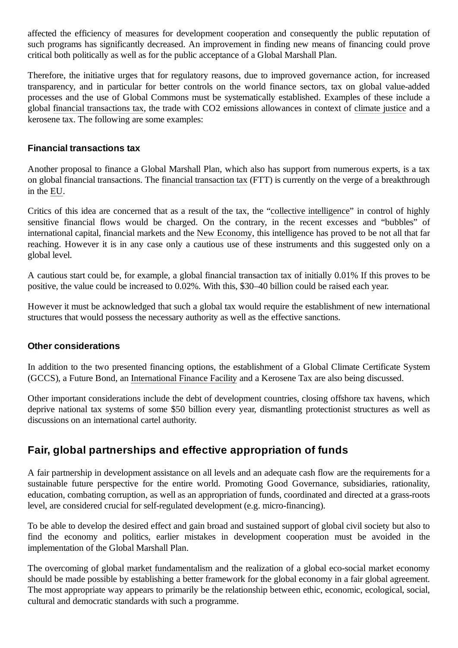affected the efficiency of measures for development cooperation and consequently the public reputation of such programs has significantly decreased. An improvement in finding new means of financing could prove critical both politically as well as for the public acceptance of a Global Marshall Plan.

Therefore, the initiative urges that for regulatory reasons, due to improved governance action, for increased transparency, and in particular for better controls on the world finance sectors, tax on global value-added processes and the use of Global Commons must be systematically established. Examples of these include a global financial [transactions](https://en.wikipedia.org/wiki/Financial_transactions_tax) tax, the trade with CO2 emissions allowances in context of [climate](https://en.wikipedia.org/wiki/Climate_justice) justice and a kerosene tax. The following are some examples:

#### <span id="page-5-0"></span>**Financial transactions tax**

Another proposal to finance a Global Marshall Plan, which also has support from numerous experts, is a tax on global financial transactions. The [financial transaction tax](https://en.wikipedia.org/wiki/Financial_transaction_tax) (FTT) is currently on the verge of a breakthrough in the [EU.](https://en.wikipedia.org/wiki/European_Union)

Critics of this idea are concerned that as a result of the tax, the "collective [intelligence"](https://en.wikipedia.org/wiki/Collective_intelligence) in control of highly sensitive financial flows would be charged. On the contrary, in the recent excesses and "bubbles" of international capital, financial markets and the [New Economy,](https://en.wikipedia.org/wiki/New_Economy) this intelligence has proved to be not all that far reaching. However it is in any case only a cautious use of these instruments and this suggested only on a global level.

A cautious start could be, for example, a global financial transaction tax of initially 0.01% If this proves to be positive, the value could be increased to 0.02%. With this, \$30–40 billion could be raised each year.

However it must be acknowledged that such a global tax would require the establishment of new international structures that would possess the necessary authority as well as the effective sanctions.

#### <span id="page-5-1"></span>**Other considerations**

In addition to the two presented financing options, the establishment of a Global Climate Certificate System (GCCS), a Future Bond, an [International Finance Facility](https://en.wikipedia.org/wiki/International_Finance_Facility) and a Kerosene Tax are also being discussed.

Other important considerations include the debt of development countries, closing offshore tax havens, which deprive national tax systems of some \$50 billion every year, dismantling protectionist structures as well as discussions on an international cartel authority.

### <span id="page-5-2"></span>**Fair, global partnerships and effective appropriation of funds**

A fair partnership in development assistance on all levels and an adequate cash flow are the requirements for a sustainable future perspective for the entire world. Promoting Good Governance, subsidiaries, rationality, education, combating corruption, as well as an appropriation of funds, coordinated and directed at a grass-roots level, are considered crucial for self-regulated development (e.g. micro-financing).

To be able to develop the desired effect and gain broad and sustained support of global civil society but also to find the economy and politics, earlier mistakes in development cooperation must be avoided in the implementation of the Global Marshall Plan.

The overcoming of global market [fundamentalism](https://en.wikipedia.org/wiki/Market_fundamentalism) and the realization of a global eco-social market economy should be made possible by establishing a better framework for the global economy in a fair global agreement. The most appropriate way appears to primarily be the relationship between ethic, economic, ecological, social, cultural and democratic standards with such a programme.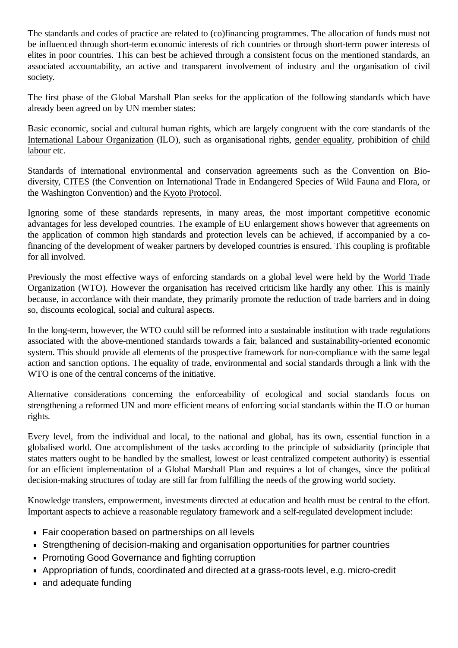The standards and codes of practice are related to (co)financing programmes. The allocation of funds must not be influenced through short-term economic interests of rich countries or through short-term power interests of elites in poor countries. This can best be achieved through a consistent focus on the mentioned standards, an associated accountability, an active and transparent involvement of industry and the organisation of civil society.

The first phase of the Global Marshall Plan seeks for the application of the following standards which have already been agreed on by UN member states:

Basic economic, social and cultural human rights, which are largely congruent with the core standards of the International Labour [Organization](https://en.wikipedia.org/wiki/International_Labour_Organization) (ILO), such as organisational rights, gender [equality](https://en.wikipedia.org/wiki/Gender_equality)[, prohibition of](https://en.wikipedia.org/wiki/Child_labour) child labour etc.

Standards of international environmental and conservation agreements such as the Convention on Biodiversity, [CITES](https://en.wikipedia.org/wiki/CITES) (the Convention on International Trade in Endangered Species of Wild Fauna and Flora, or the Washington Convention) and the [Kyoto Protocol](https://en.wikipedia.org/wiki/Kyoto_Protocol).

Ignoring some of these standards represents, in many areas, the most important competitive economic advantages for less developed countries. The example of EU enlargement shows however that agreements on the application of common high standards and protection levels can be achieved, if accompanied by a cofinancing of the development of weaker partners by developed countries is ensured. This coupling is profitable for all involved.

Previously the most effective ways of enforcing standards on a global level were held by the World Trade Organization (WTO). However the organisation has received criticism like [hardly any other. This](https://en.wikipedia.org/wiki/World_Trade_Organization) is mainly because, in accordance with their mandate, they primarily promote the reduction of trade barriers and in doing so, discounts ecological, social and cultural aspects.

In the long-term, however, the WTO could still be reformed into a sustainable institution with trade regulations associated with the above-mentioned standards towards a fair, balanced and sustainability-oriented economic system. This should provide all elements of the prospective framework for non-compliance with the same legal action and sanction options. The equality of trade, environmental and social standards through a link with the WTO is one of the central concerns of the initiative.

Alternative considerations concerning the enforceability of ecological and social standards focus on strengthening a reformed UN and more efficient means of enforcing social standards within the ILO or human rights.

Every level, from the individual and local, to the national and global, has its own, essential function in a globalised world. One accomplishment of the tasks according to the principle of subsidiarity (principle that states matters ought to be handled by the smallest, lowest or least centralized competent authority) is essential for an efficient implementation of a Global Marshall Plan and requires a lot of changes, since the political decision-making structures of today are still far from fulfilling the needs of the growing world society.

Knowledge transfers, empowerment, investments directed at education and health must be central to the effort. Important aspects to achieve a reasonable regulatory framework and a self-regulated development include:

- Fair cooperation based on partnerships on all levels
- Strengthening of decision-making and organisation opportunities for partner countries
- **Promoting Good Governance and fighting corruption**
- Appropriation of funds, coordinated and directed at a grass-roots level, e.g. micro-credit
- and adequate funding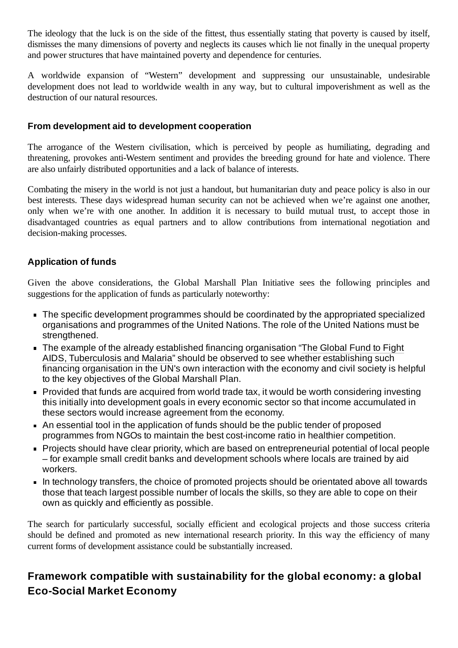The ideology that the luck is on the side of the fittest, thus essentially stating that poverty is caused by itself, dismisses the many dimensions of poverty and neglects its causes which lie not finally in the unequal property and power structures that have maintained poverty and dependence for centuries.

A worldwide expansion of "Western" development and suppressing our unsustainable, undesirable development does not lead to worldwide wealth in any way, but to cultural impoverishment as well as the destruction of our natural resources.

#### <span id="page-7-0"></span>**From development aid to development cooperation**

The arrogance of the Western civilisation, which is perceived by people as humiliating, degrading and threatening, provokes anti-Western sentiment and provides the breeding ground for hate and violence. There are also unfairly distributed opportunities and a lack of balance of interests.

Combating the misery in the world is not just a handout, but humanitarian duty and peace policy is also in our best interests. These days widespread human security can not be achieved when we're against one another, only when we're with one another. In addition it is necessary to build mutual trust, to accept those in disadvantaged countries as equal partners and to allow contributions from international negotiation and decision-making processes.

#### <span id="page-7-1"></span>**Application of funds**

Given the above considerations, the Global Marshall Plan Initiative sees the following principles and suggestions for the application of funds as particularly noteworthy:

- The specific development programmes should be coordinated by the appropriated specialized organisations and programmes of the United Nations. The role of the United Nations must be strengthened.
- The example of the [already established](https://en.wikipedia.org/wiki/The_Global_Fund_to_Fight_AIDS,_Tuberculosis_and_Malaria) financing organisation "The Global Fund to Fight AIDS, Tuberculosis and Malaria" should be observed to see whether establishing such financing organisation in the UN's own interaction with the economy and civil society is helpful to the key objectives of the Global Marshall Plan.
- **Provided that funds are acquired from world trade tax, it would be worth considering investing** this initially into development goals in every economic sector so that income accumulated in these sectors would increase agreement from the economy.
- An essential tool in the application of funds should be the public tender of proposed programmes from NGOs to maintain the best cost-income ratio in healthier competition.
- **Projects should have clear priority, which are based on entrepreneurial potential of local people** – for example small credit banks and development schools where locals are trained by aid workers.
- In technology transfers, the choice of promoted projects should be orientated above all towards those that teach largest possible number of locals the skills, so they are able to cope on their own as quickly and efficiently as possible.

The search for particularly successful, socially efficient and ecological projects and those success criteria should be defined and promoted as new international research priority. In this way the efficiency of many current forms of development assistance could be substantially increased.

### <span id="page-7-2"></span>**Framework compatible with sustainability for the global economy: a global Eco-Social Market Economy**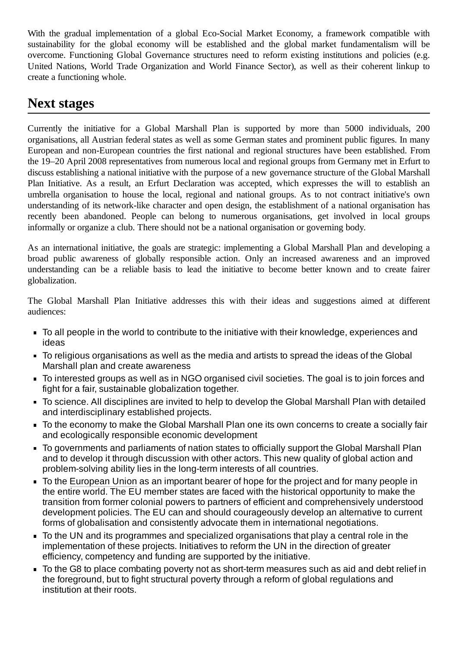With the gradual implementation of a global Eco-Social Market Economy, a framework compatible with sustainability for the global economy will be established and the global market fundamentalism will be overcome. Functioning Global Governance structures need to reform existing institutions and policies (e.g. United Nations, World Trade Organization and World Finance Sector), as well as their coherent linkup to create a functioning whole.

### <span id="page-8-0"></span>**Next stages**

Currently the initiative for a Global Marshall Plan is supported by more than 5000 individuals, 200 organisations, all Austrian federal states as well as some German states and prominent public figures. In many European and non-European countries the first national and regional structures have been established. From the 19–20 April 2008 representatives from numerous local and regional groups from Germany met in Erfurt to discuss establishing a national initiative with the purpose of a new governance structure of the Global Marshall Plan Initiative. As a result, an Erfurt Declaration was accepted, which expresses the will to establish an umbrella organisation to house the local, regional and national groups. As to not contract initiative's own understanding of its network-like character and open design, the establishment of a national organisation has recently been abandoned. People can belong to numerous organisations, get involved in local groups informally or organize a club. There should not be a national organisation or governing body.

As an international initiative, the goals are strategic: implementing a Global Marshall Plan and developing a broad public awareness of globally responsible action. Only an increased awareness and an improved understanding can be a reliable basis to lead the initiative to become better known and to create fairer globalization.

The Global Marshall Plan Initiative addresses this with their ideas and suggestions aimed at different audiences:

- To all people in the world to contribute to the initiative with their knowledge, experiences and ideas
- To religious organisations as well as the media and artists to spread the ideas of the Global Marshall plan and create awareness
- To interested groups as well as in NGO organised civil societies. The goal is to join forces and fight for a fair, sustainable globalization together.
- To science. All disciplines are invited to help to develop the Global Marshall Plan with detailed and interdisciplinary established projects.
- To the economy to make the Global Marshall Plan one its own concerns to create a socially fair and ecologically responsible economic development
- To governments and parliaments of nation states to officially support the Global Marshall Plan  $\blacksquare$ and to develop it through discussion with other actors. This new quality of global action and problem-solving ability lies in the long-term interests of all countries.
- To the [European](https://en.wikipedia.org/wiki/European_Union) Union as an important bearer of hope for the project and for many people in the entire world. The EU member states are faced with the historical opportunity to make the transition from former colonial powers to partners of efficient and comprehensively understood development policies. The EU can and should courageously develop an alternative to current forms of globalisation and consistently advocate them in international negotiations.
- To the UN and its programmes and specialized organisations that play a central role in the implementation of these projects. Initiatives to reform the UN in the direction of greater efficiency, competency and funding are supported by the initiative.
- To the [G8](https://en.wikipedia.org/wiki/G8) to place combating poverty not as short-term measures such as aid and debt relief in the foreground, but to fight structural poverty through a reform of global regulations and institution at their roots.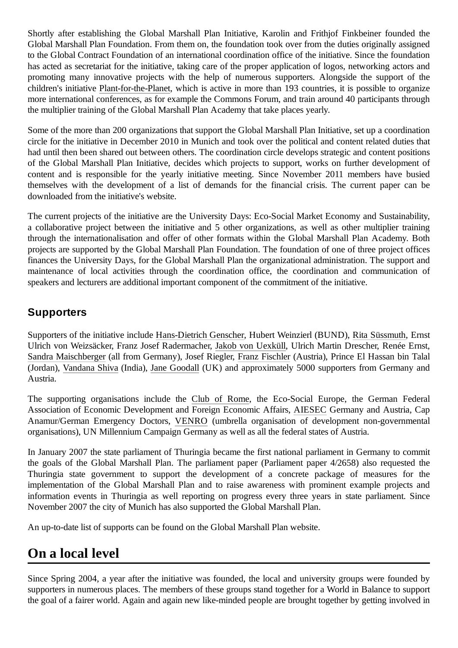Shortly after establishing the Global Marshall Plan Initiative, Karolin and Frithjof Finkbeiner founded the Global Marshall Plan Foundation. From them on, the foundation took over from the duties originally assigned to the Global Contract Foundation of an international coordination office of the initiative. Since the foundation has acted as secretariat for the initiative, taking care of the proper application of logos, networking actors and promoting many innovative projects with the help of numerous supporters. Alongside the support of the children's initiative [Plant-for-the-Planet](https://en.wikipedia.org/wiki/Plant-for-the-Planet), which is active in more than 193 countries, it is possible to organize more international conferences, as for example the Commons Forum, and train around 40 participants through the multiplier training of the Global Marshall Plan Academy that take places yearly.

Some of the more than 200 organizations that support the Global Marshall Plan Initiative, set up a coordination circle for the initiative in December 2010 in Munich and took over the political and content related duties that had until then been shared out between others. The coordination circle develops strategic and content positions of the Global Marshall Plan Initiative, decides which projects to support, works on further development of content and is responsible for the yearly initiative meeting. Since November 2011 members have busied themselves with the development of a list of demands for the financial crisis. The current paper can be downloaded from the initiative's website.

The current projects of the initiative are the University Days: Eco-Social Market Economy and Sustainability, a collaborative project between the initiative and 5 other organizations, as well as other multiplier training through the internationalisation and offer of other formats within the Global Marshall Plan Academy. Both projects are supported by the Global Marshall Plan Foundation. The foundation of one of three project offices finances the University Days, for the Global Marshall Plan the organizational administration. The support and maintenance of local activities through the coordination office, the coordination and communication of speakers and lecturers are additional important component of the commitment of the initiative.

### <span id="page-9-0"></span>**Supporters**

Supporters of the initiative include [Hans-Dietrich Genscher](https://en.wikipedia.org/wiki/Hans-Dietrich_Genscher), Hubert Weinzierl (BUND), Rita [Süssmuth](https://en.wikipedia.org/wiki/Rita_S%C3%BCssmuth), Ernst Ulrich von Weizsäcker, Franz Josef Radermacher, [Jakob von Uexküll](https://en.wikipedia.org/wiki/Jakob_von_Uexk%C3%BCll), Ulrich Martin Drescher, Renée Ernst, Sandra [Maischberger](https://en.wikipedia.org/wiki/Sandra_Maischberger) (all from Germany), Josef Riegler, Franz [Fischler](https://en.wikipedia.org/wiki/Franz_Fischler) (Austria), Prince El Hassan bin Talal (Jordan), [Vandana](https://en.wikipedia.org/wiki/Vandana_Shiva) Shiva (India), Jane [Goodall](https://en.wikipedia.org/wiki/Jane_Goodall) (UK) and approximately 5000 supporters from Germany and Austria.

The supporting organisations include the [Club of](https://en.wikipedia.org/wiki/Club_of_Rome) Rome, the Eco-Social Europe, the German Federal Association of Economic Development and Foreign Economic Affairs, [AIESEC](https://en.wikipedia.org/wiki/AIESEC) Germany and Austria, Cap Anamur/German Emergency Doctors, [VENRO](https://en.wikipedia.org/wiki/VENRO) (umbrella organisation of development non-governmental organisations), UN Millennium Campaign Germany as well as all the federal states of Austria.

In January 2007 the state parliament of Thuringia became the first national parliament in Germany to commit the goals of the Global Marshall Plan. The parliament paper (Parliament paper 4/2658) also requested the Thuringia state government to support the development of a concrete package of measures for the implementation of the Global Marshall Plan and to raise awareness with prominent example projects and information events in Thuringia as well reporting on progress every three years in state parliament. Since November 2007 the city of Munich has also supported the Global Marshall Plan.

An up-to-date list of supports can be found on the Global Marshall Plan website.

# <span id="page-9-1"></span>**On a local level**

Since Spring 2004, a year after the initiative was founded, the local and university groups were founded by supporters in numerous places. The members of these groups stand together for a World in Balance to support the goal of a fairer world. Again and again new like-minded people are brought together by getting involved in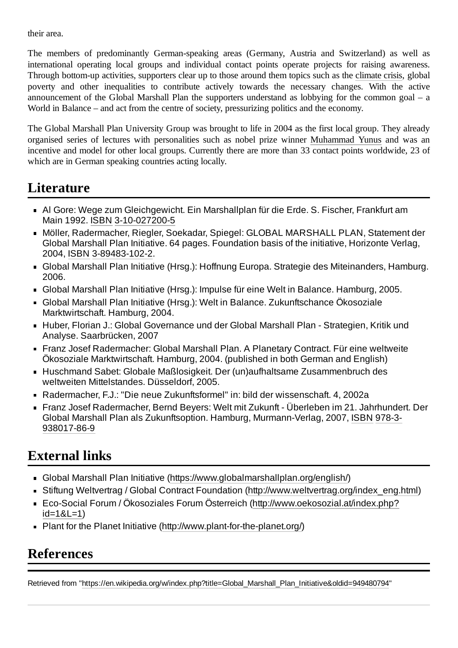their area.

The members of predominantly German-speaking areas (Germany, Austria and Switzerland) as well as international operating local groups and individual contact points operate projects for raising awareness. Through bottom-up activities, supporters clear up to those around them topics such as the [climate crisis,](https://en.wikipedia.org/wiki/Climate_crisis) global poverty and other inequalities to contribute actively towards the necessary changes. With the active announcement of the Global Marshall Plan the supporters understand as lobbying for the common goal – a World in Balance – and act from the centre of society, pressurizing politics and the economy.

The Global Marshall Plan University Group was brought to life in 2004 as the first local group. They already organised series of lectures with personalities such as nobel prize winner [Muhammad Yunus](https://en.wikipedia.org/wiki/Muhammad_Yunus) and was an incentive and model for other local groups. Currently there are more than 33 contact points worldwide, 23 of which are in German speaking countries acting locally.

### <span id="page-10-0"></span>**Literature**

- Al Gore: Wege zum Gleichgewicht. Ein Marshallplan für die Erde. S. Fischer, Frankfurt am Main 1992. [ISBN](https://en.wikipedia.org/wiki/ISBN_(identifier)) [3-10-027200-5](https://en.wikipedia.org/wiki/Special:BookSources/3-10-027200-5)
- Möller, Radermacher, Riegler, Soekadar, Spiegel: GLOBAL MARSHALL PLAN, Statement der Global Marshall Plan Initiative. 64 pages. Foundation basis of the initiative, Horizonte Verlag, 2004, [ISBN](https://en.wikipedia.org/wiki/ISBN_(identifier)) [3-89483-102-2.](https://en.wikipedia.org/wiki/Special:BookSources/3-89483-102-2)
- Global Marshall Plan Initiative (Hrsg.): Hoffnung Europa. Strategie des Miteinanders, Hamburg. 2006.
- Global Marshall Plan Initiative (Hrsg.): Impulse für eine Welt in Balance. Hamburg, 2005.
- Global Marshall Plan Initiative (Hrsg.): Welt in Balance. Zukunftschance Ökosoziale Marktwirtschaft. Hamburg, 2004.
- Huber, Florian J.: Global Governance und der Global Marshall Plan Strategien, Kritik und Analyse. Saarbrücken, 2007
- Franz Josef Radermacher: Global Marshall Plan. A Planetary Contract. Für eine weltweite Ökosoziale Marktwirtschaft. Hamburg, 2004. (published in both German and English)
- Huschmand Sabet: Globale Maßlosigkeit. Der (un)aufhaltsame Zusammenbruch des weltweiten Mittelstandes. Düsseldorf, 2005.
- Radermacher, F.J.: "Die neue Zukunftsformel" in: bild der wissenschaft. 4, 2002a
- Franz Josef Radermacher, Bernd Beyers: Welt mit Zukunft Überleben im 21. Jahrhundert. Der Global Marshall Plan [als Zukunftsoption.](https://en.wikipedia.org/wiki/Special:BookSources/978-3-938017-86-9) Hamburg, Murmann-Verlag, 2007, [ISBN](https://en.wikipedia.org/wiki/ISBN_(identifier)) 978-3- 938017-86-9

### <span id="page-10-1"></span>**External links**

- Global Marshall Plan Initiative [\(https://www.globalmarshallplan.org/english/](https://www.globalmarshallplan.org/english/))
- Stiftung Weltvertrag / Global Contract Foundation ([http://www.weltvertrag.org/index\\_eng.html\)](http://www.weltvertrag.org/index_eng.html)
- Eco-Social Forum / Ökosoziales Forum Österreich [\(http://www.oekosozial.at/index.php?](http://www.oekosozial.at/index.php?id=1&L=1) id=1&L=1)
- Plant for the Planet Initiative (<http://www.plant-for-the-planet.org/>)

# <span id="page-10-2"></span>**References**

Retrieved from "[https://en.wikipedia.org/w/index.php?title=Global\\_Marshall\\_Plan\\_Initiative&oldid=949480794"](https://en.wikipedia.org/w/index.php?title=Global_Marshall_Plan_Initiative&oldid=949480794)